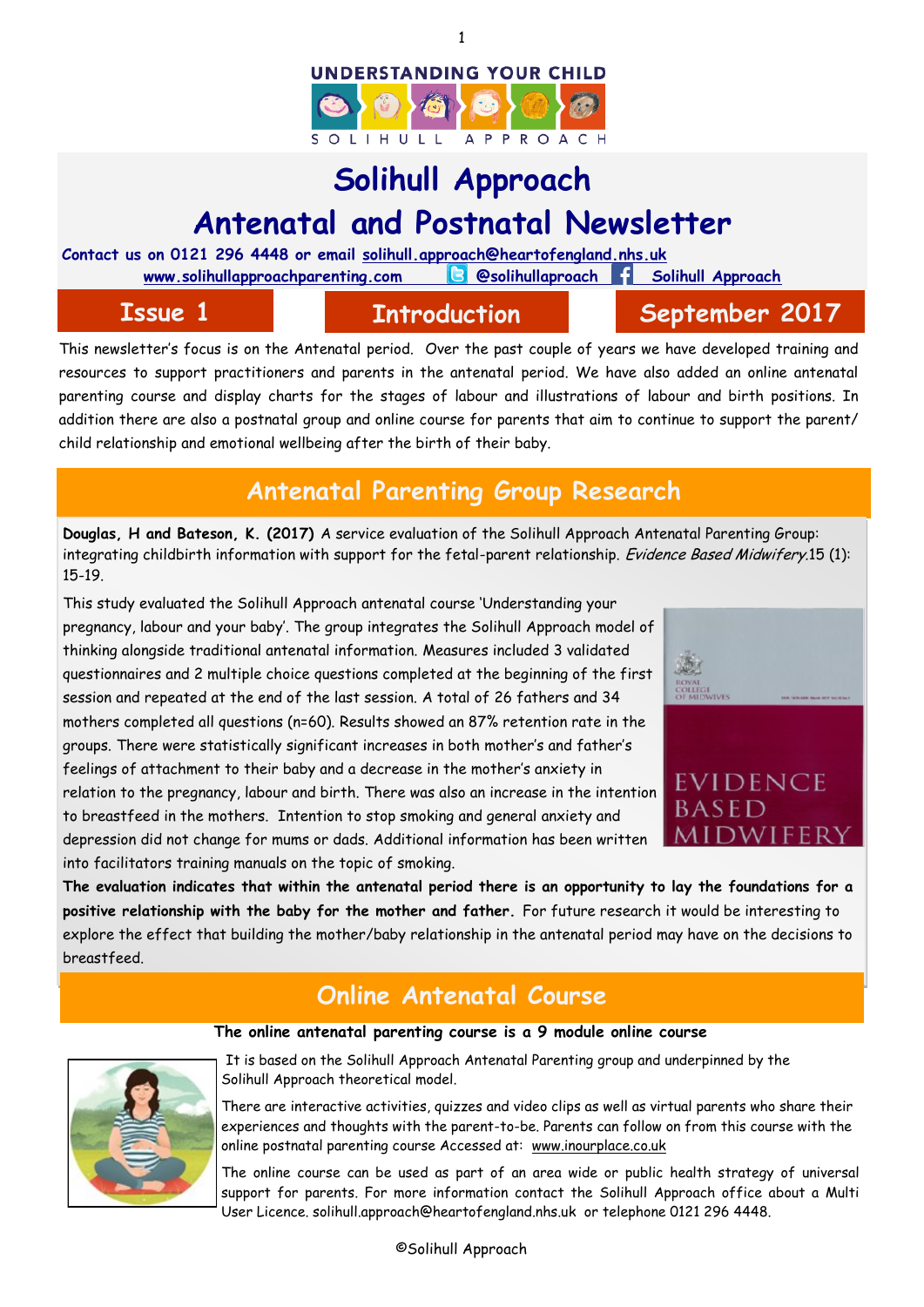



# **Solihull Approach Antenatal and Postnatal Newsletter**

**Contact us on 0121 296 4448 or email solihull.approach@heartofengland.nhs.uk**

www.solihullapproachparenting.com **B** @solihullaproach Solihull Approach

## **Issue 1 Introduction September 2017**

This newsletter's focus is on the Antenatal period. Over the past couple of years we have developed training and resources to support practitioners and parents in the antenatal period. We have also added an online antenatal parenting course and display charts for the stages of labour and illustrations of labour and birth positions. In addition there are also a postnatal group and online course for parents that aim to continue to support the parent/ child relationship and emotional wellbeing after the birth of their baby.

# **Antenatal Parenting Group Research**

**Douglas, H and Bateson, K. (2017)** A service evaluation of the Solihull Approach Antenatal Parenting Group: integrating childbirth information with support for the fetal-parent relationship. *Evidence Based Midwifery.*15 (1): 15-19.

This study evaluated the Solihull Approach antenatal course 'Understanding your pregnancy, labour and your baby'. The group integrates the Solihull Approach model of thinking alongside traditional antenatal information. Measures included 3 validated questionnaires and 2 multiple choice questions completed at the beginning of the first session and repeated at the end of the last session. A total of 26 fathers and 34 mothers completed all questions (n=60). Results showed an 87% retention rate in the groups. There were statistically significant increases in both mother's and father's feelings of attachment to their baby and a decrease in the mother's anxiety in relation to the pregnancy, labour and birth. There was also an increase in the intention to breastfeed in the mothers. Intention to stop smoking and general anxiety and depression did not change for mums or dads. Additional information has been written into facilitators training manuals on the topic of smoking.



**The evaluation indicates that within the antenatal period there is an opportunity to lay the foundations for a positive relationship with the baby for the mother and father.** For future research it would be interesting to explore the effect that building the mother/baby relationship in the antenatal period may have on the decisions to breastfeed.

# **Online Antenatal Course**

**The online antenatal parenting course is a 9 module online course** 

It is based on the Solihull Approach Antenatal Parenting group and underpinned by the Solihull Approach theoretical model.

There are interactive activities, quizzes and video clips as well as virtual parents who share their experiences and thoughts with the parent-to-be. Parents can follow on from this course with the online postnatal parenting course Accessed at: [www.inourplace.co.uk](http://www.inouplace.co.uk)

The online course can be used as part of an area wide or public health strategy of universal support for parents. For more information contact the Solihull Approach office about a Multi User Licence. solihull.approach@heartofengland.nhs.uk or telephone 0121 296 4448.